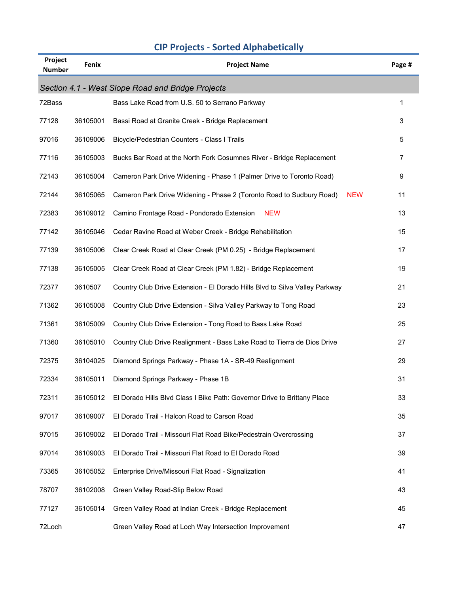| Project<br><b>Number</b> | Fenix    | <b>Project Name</b>                                                                | Page # |
|--------------------------|----------|------------------------------------------------------------------------------------|--------|
|                          |          | Section 4.1 - West Slope Road and Bridge Projects                                  |        |
| 72Bass                   |          | Bass Lake Road from U.S. 50 to Serrano Parkway                                     | 1      |
| 77128                    | 36105001 | Bassi Road at Granite Creek - Bridge Replacement                                   | 3      |
| 97016                    | 36109006 | Bicycle/Pedestrian Counters - Class I Trails                                       | 5      |
| 77116                    | 36105003 | Bucks Bar Road at the North Fork Cosumnes River - Bridge Replacement               | 7      |
| 72143                    | 36105004 | Cameron Park Drive Widening - Phase 1 (Palmer Drive to Toronto Road)               | 9      |
| 72144                    | 36105065 | Cameron Park Drive Widening - Phase 2 (Toronto Road to Sudbury Road)<br><b>NEW</b> | 11     |
| 72383                    | 36109012 | Camino Frontage Road - Pondorado Extension<br><b>NEW</b>                           | 13     |
| 77142                    | 36105046 | Cedar Ravine Road at Weber Creek - Bridge Rehabilitation                           | 15     |
| 77139                    | 36105006 | Clear Creek Road at Clear Creek (PM 0.25) - Bridge Replacement                     | 17     |
| 77138                    | 36105005 | Clear Creek Road at Clear Creek (PM 1.82) - Bridge Replacement                     | 19     |
| 72377                    | 3610507  | Country Club Drive Extension - El Dorado Hills Blvd to Silva Valley Parkway        | 21     |
| 71362                    | 36105008 | Country Club Drive Extension - Silva Valley Parkway to Tong Road                   | 23     |
| 71361                    | 36105009 | Country Club Drive Extension - Tong Road to Bass Lake Road                         | 25     |
| 71360                    | 36105010 | Country Club Drive Realignment - Bass Lake Road to Tierra de Dios Drive            | 27     |
| 72375                    | 36104025 | Diamond Springs Parkway - Phase 1A - SR-49 Realignment                             | 29     |
| 72334                    | 36105011 | Diamond Springs Parkway - Phase 1B                                                 | 31     |
| 72311                    | 36105012 | El Dorado Hills Blvd Class I Bike Path: Governor Drive to Brittany Place           | 33     |
| 97017                    | 36109007 | El Dorado Trail - Halcon Road to Carson Road                                       | 35     |
| 97015                    | 36109002 | El Dorado Trail - Missouri Flat Road Bike/Pedestrain Overcrossing                  | 37     |
| 97014                    | 36109003 | El Dorado Trail - Missouri Flat Road to El Dorado Road                             | 39     |
| 73365                    | 36105052 | Enterprise Drive/Missouri Flat Road - Signalization                                | 41     |
| 78707                    | 36102008 | Green Valley Road-Slip Below Road                                                  | 43     |
| 77127                    | 36105014 | Green Valley Road at Indian Creek - Bridge Replacement                             | 45     |
| 72Loch                   |          | Green Valley Road at Loch Way Intersection Improvement                             | 47     |

## **CIP Projects - Sorted Alphabetically**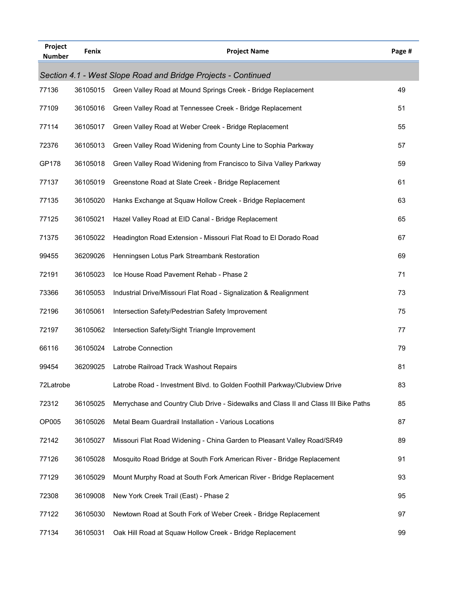| Project<br><b>Number</b> | Fenix    | <b>Project Name</b>                                                                 | Page # |
|--------------------------|----------|-------------------------------------------------------------------------------------|--------|
|                          |          | Section 4.1 - West Slope Road and Bridge Projects - Continued                       |        |
| 77136                    | 36105015 | Green Valley Road at Mound Springs Creek - Bridge Replacement                       | 49     |
| 77109                    | 36105016 | Green Valley Road at Tennessee Creek - Bridge Replacement                           | 51     |
| 77114                    | 36105017 | Green Valley Road at Weber Creek - Bridge Replacement                               | 55     |
| 72376                    | 36105013 | Green Valley Road Widening from County Line to Sophia Parkway                       | 57     |
| GP178                    | 36105018 | Green Valley Road Widening from Francisco to Silva Valley Parkway                   | 59     |
| 77137                    | 36105019 | Greenstone Road at Slate Creek - Bridge Replacement                                 | 61     |
| 77135                    | 36105020 | Hanks Exchange at Squaw Hollow Creek - Bridge Replacement                           | 63     |
| 77125                    | 36105021 | Hazel Valley Road at EID Canal - Bridge Replacement                                 | 65     |
| 71375                    | 36105022 | Headington Road Extension - Missouri Flat Road to El Dorado Road                    | 67     |
| 99455                    | 36209026 | Henningsen Lotus Park Streambank Restoration                                        | 69     |
| 72191                    | 36105023 | Ice House Road Pavement Rehab - Phase 2                                             | 71     |
| 73366                    | 36105053 | Industrial Drive/Missouri Flat Road - Signalization & Realignment                   | 73     |
| 72196                    | 36105061 | Intersection Safety/Pedestrian Safety Improvement                                   | 75     |
| 72197                    | 36105062 | Intersection Safety/Sight Triangle Improvement                                      | 77     |
| 66116                    | 36105024 | Latrobe Connection                                                                  | 79     |
| 99454                    | 36209025 | Latrobe Railroad Track Washout Repairs                                              | 81     |
| 72Latrobe                |          | Latrobe Road - Investment Blvd. to Golden Foothill Parkway/Clubview Drive           | 83     |
| 72312                    | 36105025 | Merrychase and Country Club Drive - Sidewalks and Class II and Class III Bike Paths | 85     |
| OP005                    | 36105026 | Metal Beam Guardrail Installation - Various Locations                               | 87     |
| 72142                    | 36105027 | Missouri Flat Road Widening - China Garden to Pleasant Valley Road/SR49             | 89     |
| 77126                    | 36105028 | Mosquito Road Bridge at South Fork American River - Bridge Replacement              | 91     |
| 77129                    | 36105029 | Mount Murphy Road at South Fork American River - Bridge Replacement                 | 93     |
| 72308                    | 36109008 | New York Creek Trail (East) - Phase 2                                               | 95     |
| 77122                    | 36105030 | Newtown Road at South Fork of Weber Creek - Bridge Replacement                      | 97     |
| 77134                    | 36105031 | Oak Hill Road at Squaw Hollow Creek - Bridge Replacement                            | 99     |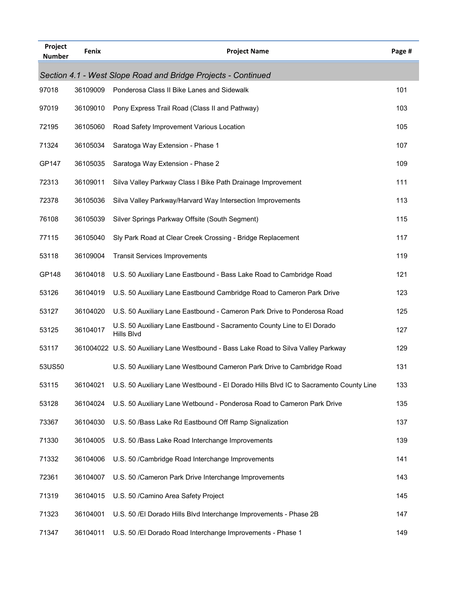| Project<br><b>Number</b> | Fenix    | <b>Project Name</b>                                                                  | Page # |
|--------------------------|----------|--------------------------------------------------------------------------------------|--------|
|                          |          | Section 4.1 - West Slope Road and Bridge Projects - Continued                        |        |
| 97018                    | 36109009 | Ponderosa Class II Bike Lanes and Sidewalk                                           | 101    |
| 97019                    | 36109010 | Pony Express Trail Road (Class II and Pathway)                                       | 103    |
| 72195                    | 36105060 | Road Safety Improvement Various Location                                             | 105    |
| 71324                    | 36105034 | Saratoga Way Extension - Phase 1                                                     | 107    |
| GP147                    | 36105035 | Saratoga Way Extension - Phase 2                                                     | 109    |
| 72313                    | 36109011 | Silva Valley Parkway Class I Bike Path Drainage Improvement                          | 111    |
| 72378                    | 36105036 | Silva Valley Parkway/Harvard Way Intersection Improvements                           | 113    |
| 76108                    | 36105039 | Silver Springs Parkway Offsite (South Segment)                                       | 115    |
| 77115                    | 36105040 | Sly Park Road at Clear Creek Crossing - Bridge Replacement                           | 117    |
| 53118                    | 36109004 | <b>Transit Services Improvements</b>                                                 | 119    |
| GP148                    | 36104018 | U.S. 50 Auxiliary Lane Eastbound - Bass Lake Road to Cambridge Road                  | 121    |
| 53126                    | 36104019 | U.S. 50 Auxiliary Lane Eastbound Cambridge Road to Cameron Park Drive                | 123    |
| 53127                    | 36104020 | U.S. 50 Auxiliary Lane Eastbound - Cameron Park Drive to Ponderosa Road              | 125    |
| 53125                    | 36104017 | U.S. 50 Auxiliary Lane Eastbound - Sacramento County Line to El Dorado<br>Hills Blvd | 127    |
| 53117                    |          | 361004022 U.S. 50 Auxiliary Lane Westbound - Bass Lake Road to Silva Valley Parkway  | 129    |
| 53US50                   |          | U.S. 50 Auxiliary Lane Westbound Cameron Park Drive to Cambridge Road                | 131    |
| 53115                    | 36104021 | U.S. 50 Auxiliary Lane Westbound - El Dorado Hills Blvd IC to Sacramento County Line | 133    |
| 53128                    | 36104024 | U.S. 50 Auxiliary Lane Wetbound - Ponderosa Road to Cameron Park Drive               | 135    |
| 73367                    | 36104030 | U.S. 50 /Bass Lake Rd Eastbound Off Ramp Signalization                               | 137    |
| 71330                    | 36104005 | U.S. 50 /Bass Lake Road Interchange Improvements                                     | 139    |
| 71332                    | 36104006 | U.S. 50 / Cambridge Road Interchange Improvements                                    | 141    |
| 72361                    | 36104007 | U.S. 50 / Cameron Park Drive Interchange Improvements                                | 143    |
| 71319                    | 36104015 | U.S. 50 / Camino Area Safety Project                                                 | 145    |
| 71323                    | 36104001 | U.S. 50 /El Dorado Hills Blvd Interchange Improvements - Phase 2B                    | 147    |
| 71347                    | 36104011 | U.S. 50 /El Dorado Road Interchange Improvements - Phase 1                           | 149    |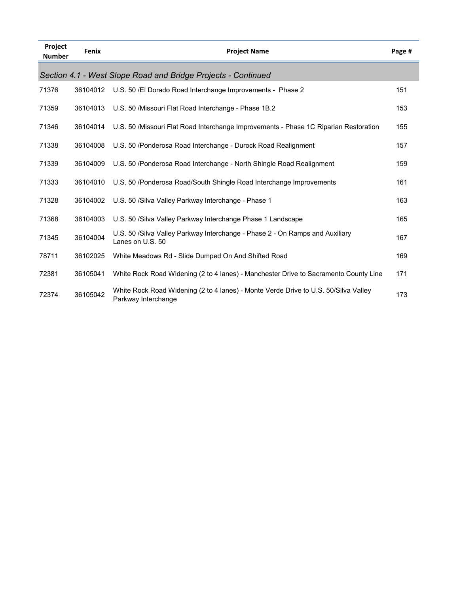| Project<br><b>Number</b> | Fenix    | <b>Project Name</b>                                                                                        | Page # |
|--------------------------|----------|------------------------------------------------------------------------------------------------------------|--------|
|                          |          | Section 4.1 - West Slope Road and Bridge Projects - Continued                                              |        |
| 71376                    | 36104012 | U.S. 50 /El Dorado Road Interchange Improvements - Phase 2                                                 | 151    |
| 71359                    | 36104013 | U.S. 50 /Missouri Flat Road Interchange - Phase 1B.2                                                       | 153    |
| 71346                    | 36104014 | U.S. 50 / Missouri Flat Road Interchange Improvements - Phase 1C Riparian Restoration                      | 155    |
| 71338                    | 36104008 | U.S. 50 /Ponderosa Road Interchange - Durock Road Realignment                                              | 157    |
| 71339                    | 36104009 | U.S. 50 /Ponderosa Road Interchange - North Shingle Road Realignment                                       | 159    |
| 71333                    | 36104010 | U.S. 50 /Ponderosa Road/South Shingle Road Interchange Improvements                                        | 161    |
| 71328                    | 36104002 | U.S. 50 /Silva Valley Parkway Interchange - Phase 1                                                        | 163    |
| 71368                    | 36104003 | U.S. 50 / Silva Valley Parkway Interchange Phase 1 Landscape                                               | 165    |
| 71345                    | 36104004 | U.S. 50 / Silva Valley Parkway Interchange - Phase 2 - On Ramps and Auxiliary<br>Lanes on U.S. 50          | 167    |
| 78711                    | 36102025 | White Meadows Rd - Slide Dumped On And Shifted Road                                                        | 169    |
| 72381                    | 36105041 | White Rock Road Widening (2 to 4 lanes) - Manchester Drive to Sacramento County Line                       | 171    |
| 72374                    | 36105042 | White Rock Road Widening (2 to 4 lanes) - Monte Verde Drive to U.S. 50/Silva Valley<br>Parkway Interchange | 173    |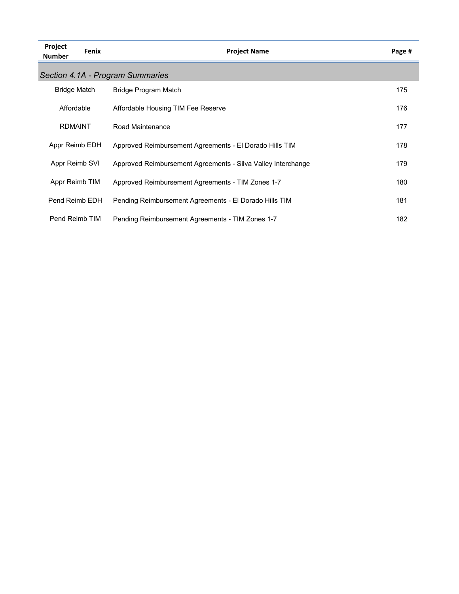| Project<br><b>Number</b> | Fenix | <b>Project Name</b>                                          | Page # |
|--------------------------|-------|--------------------------------------------------------------|--------|
|                          |       | Section 4.1A - Program Summaries                             |        |
| <b>Bridge Match</b>      |       | Bridge Program Match                                         | 175    |
| Affordable               |       | Affordable Housing TIM Fee Reserve                           | 176    |
| <b>RDMAINT</b>           |       | Road Maintenance                                             | 177    |
| Appr Reimb EDH           |       | Approved Reimbursement Agreements - El Dorado Hills TIM      | 178    |
| Appr Reimb SVI           |       | Approved Reimbursement Agreements - Silva Valley Interchange | 179    |
| Appr Reimb TIM           |       | Approved Reimbursement Agreements - TIM Zones 1-7            | 180    |
| Pend Reimb EDH           |       | Pending Reimbursement Agreements - El Dorado Hills TIM       | 181    |
| Pend Reimb TIM           |       | Pending Reimbursement Agreements - TIM Zones 1-7             | 182    |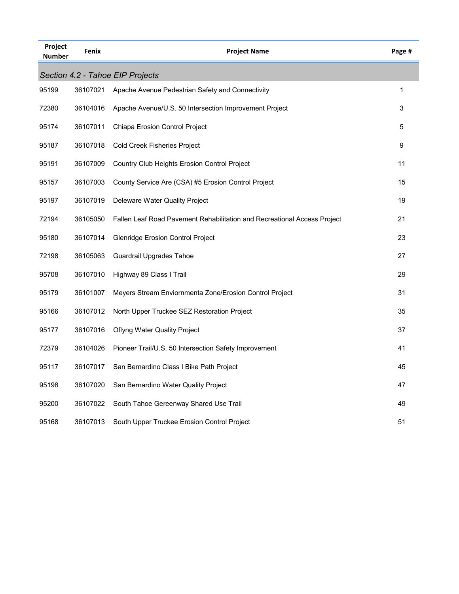| Project<br><b>Number</b> | Fenix    | <b>Project Name</b>                                                      | Page #       |
|--------------------------|----------|--------------------------------------------------------------------------|--------------|
|                          |          | Section 4.2 - Tahoe EIP Projects                                         |              |
| 95199                    | 36107021 | Apache Avenue Pedestrian Safety and Connectivity                         | $\mathbf{1}$ |
| 72380                    | 36104016 | Apache Avenue/U.S. 50 Intersection Improvement Project                   | 3            |
| 95174                    | 36107011 | Chiapa Erosion Control Project                                           | 5            |
| 95187                    | 36107018 | Cold Creek Fisheries Project                                             | 9            |
| 95191                    | 36107009 | Country Club Heights Erosion Control Project                             | 11           |
| 95157                    | 36107003 | County Service Are (CSA) #5 Erosion Control Project                      | 15           |
| 95197                    | 36107019 | Deleware Water Quality Project                                           | 19           |
| 72194                    | 36105050 | Fallen Leaf Road Pavement Rehabilitation and Recreational Access Project | 21           |
| 95180                    | 36107014 | Glenridge Erosion Control Project                                        | 23           |
| 72198                    | 36105063 | <b>Guardrail Upgrades Tahoe</b>                                          | 27           |
| 95708                    | 36107010 | Highway 89 Class I Trail                                                 | 29           |
| 95179                    | 36101007 | Meyers Stream Enviornmenta Zone/Erosion Control Project                  | 31           |
| 95166                    | 36107012 | North Upper Truckee SEZ Restoration Project                              | 35           |
| 95177                    | 36107016 | <b>Oflyng Water Quality Project</b>                                      | 37           |
| 72379                    | 36104026 | Pioneer Trail/U.S. 50 Intersection Safety Improvement                    | 41           |
| 95117                    | 36107017 | San Bernardino Class I Bike Path Project                                 | 45           |
| 95198                    | 36107020 | San Bernardino Water Quality Project                                     | 47           |
| 95200                    | 36107022 | South Tahoe Gereenway Shared Use Trail                                   | 49           |
| 95168                    | 36107013 | South Upper Truckee Erosion Control Project                              | 51           |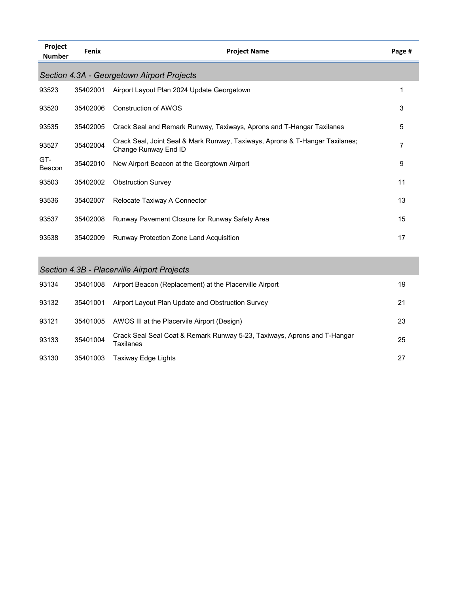| Project<br><b>Number</b> | Fenix    | <b>Project Name</b>                                                                                  | Page # |
|--------------------------|----------|------------------------------------------------------------------------------------------------------|--------|
|                          |          | Section 4.3A - Georgetown Airport Projects                                                           |        |
| 93523                    | 35402001 | Airport Layout Plan 2024 Update Georgetown                                                           | 1      |
| 93520                    | 35402006 | Construction of AWOS                                                                                 | 3      |
| 93535                    | 35402005 | Crack Seal and Remark Runway, Taxiways, Aprons and T-Hangar Taxilanes                                | 5      |
| 93527                    | 35402004 | Crack Seal, Joint Seal & Mark Runway, Taxiways, Aprons & T-Hangar Taxilanes;<br>Change Runway End ID | 7      |
| GT-<br>Beacon            | 35402010 | New Airport Beacon at the Georgtown Airport                                                          | 9      |
| 93503                    | 35402002 | <b>Obstruction Survey</b>                                                                            | 11     |
| 93536                    | 35402007 | Relocate Taxiway A Connector                                                                         | 13     |
| 93537                    | 35402008 | Runway Pavement Closure for Runway Safety Area                                                       | 15     |
| 93538                    | 35402009 | Runway Protection Zone Land Acquisition                                                              | 17     |

## *Section 4.3B - Placerville Airport Projects*

| 93134 | 35401008 | Airport Beacon (Replacement) at the Placerville Airport                               | 19 |
|-------|----------|---------------------------------------------------------------------------------------|----|
| 93132 | 35401001 | Airport Layout Plan Update and Obstruction Survey                                     | 21 |
| 93121 | 35401005 | AWOS III at the Placervile Airport (Design)                                           | 23 |
| 93133 | 35401004 | Crack Seal Seal Coat & Remark Runway 5-23, Taxiways, Aprons and T-Hangar<br>Taxilanes | 25 |
| 93130 | 35401003 | Taxiway Edge Lights                                                                   | 27 |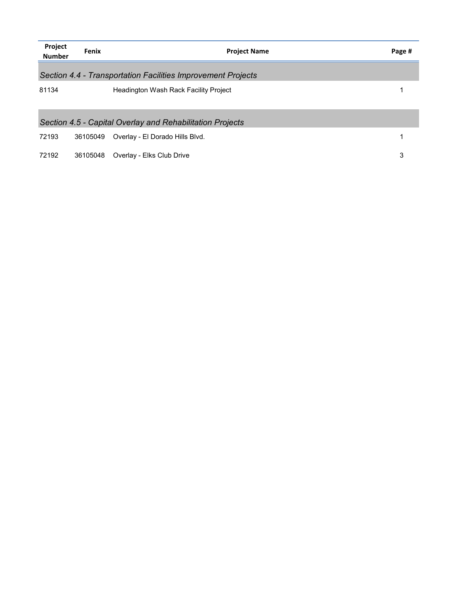| Project<br><b>Number</b> | Fenix    | <b>Project Name</b>                                          | Page # |
|--------------------------|----------|--------------------------------------------------------------|--------|
|                          |          | Section 4.4 - Transportation Facilities Improvement Projects |        |
| 81134                    |          | Headington Wash Rack Facility Project                        |        |
|                          |          | Section 4.5 - Capital Overlay and Rehabilitation Projects    |        |
| 72193                    | 36105049 | Overlay - El Dorado Hills Blvd.                              |        |
| 72192                    | 36105048 | Overlay - Elks Club Drive                                    | 3      |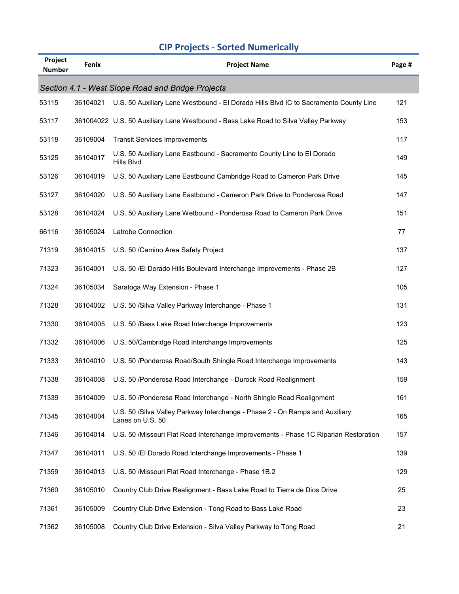|  |  | <b>CIP Projects - Sorted Numerically</b> |
|--|--|------------------------------------------|
|--|--|------------------------------------------|

| Project<br><b>Number</b> | <b>Fenix</b> | <b>Project Name</b>                                                                              | Page # |
|--------------------------|--------------|--------------------------------------------------------------------------------------------------|--------|
|                          |              | Section 4.1 - West Slope Road and Bridge Projects                                                |        |
| 53115                    | 36104021     | U.S. 50 Auxiliary Lane Westbound - El Dorado Hills Blvd IC to Sacramento County Line             | 121    |
| 53117                    |              | 361004022 U.S. 50 Auxiliary Lane Westbound - Bass Lake Road to Silva Valley Parkway              | 153    |
| 53118                    | 36109004     | <b>Transit Services Improvements</b>                                                             | 117    |
| 53125                    | 36104017     | U.S. 50 Auxiliary Lane Eastbound - Sacramento County Line to El Dorado<br>Hills Blvd             | 149    |
| 53126                    | 36104019     | U.S. 50 Auxiliary Lane Eastbound Cambridge Road to Cameron Park Drive                            | 145    |
| 53127                    | 36104020     | U.S. 50 Auxiliary Lane Eastbound - Cameron Park Drive to Ponderosa Road                          | 147    |
| 53128                    | 36104024     | U.S. 50 Auxiliary Lane Wetbound - Ponderosa Road to Cameron Park Drive                           | 151    |
| 66116                    | 36105024     | Latrobe Connection                                                                               | 77     |
| 71319                    | 36104015     | U.S. 50 / Camino Area Safety Project                                                             | 137    |
| 71323                    | 36104001     | U.S. 50 /El Dorado Hills Boulevard Interchange Improvements - Phase 2B                           | 127    |
| 71324                    | 36105034     | Saratoga Way Extension - Phase 1                                                                 | 105    |
| 71328                    | 36104002     | U.S. 50 /Silva Valley Parkway Interchange - Phase 1                                              | 131    |
| 71330                    | 36104005     | U.S. 50 /Bass Lake Road Interchange Improvements                                                 | 123    |
| 71332                    | 36104006     | U.S. 50/Cambridge Road Interchange Improvements                                                  | 125    |
| 71333                    | 36104010     | U.S. 50 /Ponderosa Road/South Shingle Road Interchange Improvements                              | 143    |
| 71338                    | 36104008     | U.S. 50 /Ponderosa Road Interchange - Durock Road Realignment                                    | 159    |
| 71339                    | 36104009     | U.S. 50 /Ponderosa Road Interchange - North Shingle Road Realignment                             | 161    |
| 71345                    | 36104004     | U.S. 50 /Silva Valley Parkway Interchange - Phase 2 - On Ramps and Auxiliary<br>Lanes on U.S. 50 | 165    |
| 71346                    | 36104014     | U.S. 50 / Missouri Flat Road Interchange Improvements - Phase 1C Riparian Restoration            | 157    |
| 71347                    | 36104011     | U.S. 50 /El Dorado Road Interchange Improvements - Phase 1                                       | 139    |
| 71359                    | 36104013     | U.S. 50 /Missouri Flat Road Interchange - Phase 1B.2                                             | 129    |
| 71360                    | 36105010     | Country Club Drive Realignment - Bass Lake Road to Tierra de Dios Drive                          | 25     |
| 71361                    | 36105009     | Country Club Drive Extension - Tong Road to Bass Lake Road                                       | 23     |
| 71362                    | 36105008     | Country Club Drive Extension - Silva Valley Parkway to Tong Road                                 | 21     |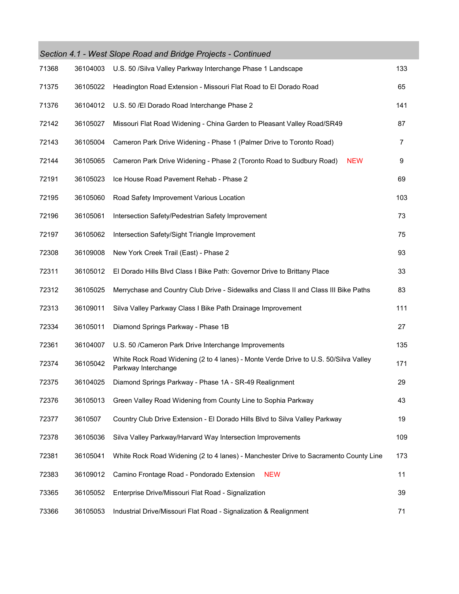|       |          | Section 4.1 - West Slope Road and Bridge Projects - Continued                                              |     |
|-------|----------|------------------------------------------------------------------------------------------------------------|-----|
| 71368 | 36104003 | U.S. 50 /Silva Valley Parkway Interchange Phase 1 Landscape                                                | 133 |
| 71375 | 36105022 | Headington Road Extension - Missouri Flat Road to El Dorado Road                                           | 65  |
| 71376 | 36104012 | U.S. 50 / El Dorado Road Interchange Phase 2                                                               | 141 |
| 72142 | 36105027 | Missouri Flat Road Widening - China Garden to Pleasant Valley Road/SR49                                    | 87  |
| 72143 | 36105004 | Cameron Park Drive Widening - Phase 1 (Palmer Drive to Toronto Road)                                       | 7   |
| 72144 | 36105065 | Cameron Park Drive Widening - Phase 2 (Toronto Road to Sudbury Road)<br><b>NEW</b>                         | 9   |
| 72191 | 36105023 | Ice House Road Pavement Rehab - Phase 2                                                                    | 69  |
| 72195 | 36105060 | Road Safety Improvement Various Location                                                                   | 103 |
| 72196 | 36105061 | Intersection Safety/Pedestrian Safety Improvement                                                          | 73  |
| 72197 | 36105062 | Intersection Safety/Sight Triangle Improvement                                                             | 75  |
| 72308 | 36109008 | New York Creek Trail (East) - Phase 2                                                                      | 93  |
| 72311 | 36105012 | El Dorado Hills Blvd Class I Bike Path: Governor Drive to Brittany Place                                   | 33  |
| 72312 | 36105025 | Merrychase and Country Club Drive - Sidewalks and Class II and Class III Bike Paths                        | 83  |
| 72313 | 36109011 | Silva Valley Parkway Class I Bike Path Drainage Improvement                                                | 111 |
| 72334 | 36105011 | Diamond Springs Parkway - Phase 1B                                                                         | 27  |
| 72361 | 36104007 | U.S. 50 / Cameron Park Drive Interchange Improvements                                                      | 135 |
| 72374 | 36105042 | White Rock Road Widening (2 to 4 lanes) - Monte Verde Drive to U.S. 50/Silva Valley<br>Parkway Interchange | 171 |
| 72375 | 36104025 | Diamond Springs Parkway - Phase 1A - SR-49 Realignment                                                     | 29  |
| 72376 | 36105013 | Green Valley Road Widening from County Line to Sophia Parkway                                              | 43  |
| 72377 | 3610507  | Country Club Drive Extension - El Dorado Hills Blvd to Silva Valley Parkway                                | 19  |
| 72378 | 36105036 | Silva Valley Parkway/Harvard Way Intersection Improvements                                                 | 109 |
| 72381 | 36105041 | White Rock Road Widening (2 to 4 lanes) - Manchester Drive to Sacramento County Line                       | 173 |
| 72383 | 36109012 | Camino Frontage Road - Pondorado Extension<br><b>NEW</b>                                                   | 11  |
| 73365 | 36105052 | Enterprise Drive/Missouri Flat Road - Signalization                                                        | 39  |
| 73366 | 36105053 | Industrial Drive/Missouri Flat Road - Signalization & Realignment                                          | 71  |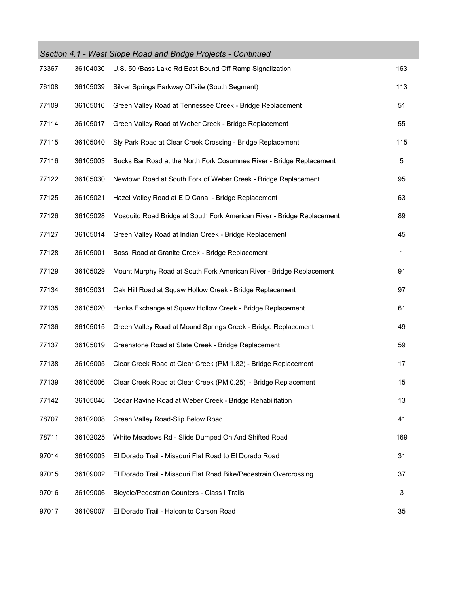|       |          | Section 4.1 - West Slope Road and Bridge Projects - Continued          |     |
|-------|----------|------------------------------------------------------------------------|-----|
| 73367 | 36104030 | U.S. 50 /Bass Lake Rd East Bound Off Ramp Signalization                | 163 |
| 76108 | 36105039 | Silver Springs Parkway Offsite (South Segment)                         | 113 |
| 77109 | 36105016 | Green Valley Road at Tennessee Creek - Bridge Replacement              | 51  |
| 77114 | 36105017 | Green Valley Road at Weber Creek - Bridge Replacement                  | 55  |
| 77115 | 36105040 | Sly Park Road at Clear Creek Crossing - Bridge Replacement             | 115 |
| 77116 | 36105003 | Bucks Bar Road at the North Fork Cosumnes River - Bridge Replacement   | 5   |
| 77122 | 36105030 | Newtown Road at South Fork of Weber Creek - Bridge Replacement         | 95  |
| 77125 | 36105021 | Hazel Valley Road at EID Canal - Bridge Replacement                    | 63  |
| 77126 | 36105028 | Mosquito Road Bridge at South Fork American River - Bridge Replacement | 89  |
| 77127 | 36105014 | Green Valley Road at Indian Creek - Bridge Replacement                 | 45  |
| 77128 | 36105001 | Bassi Road at Granite Creek - Bridge Replacement                       | 1   |
| 77129 | 36105029 | Mount Murphy Road at South Fork American River - Bridge Replacement    | 91  |
| 77134 | 36105031 | Oak Hill Road at Squaw Hollow Creek - Bridge Replacement               | 97  |
| 77135 | 36105020 | Hanks Exchange at Squaw Hollow Creek - Bridge Replacement              | 61  |
| 77136 | 36105015 | Green Valley Road at Mound Springs Creek - Bridge Replacement          | 49  |
| 77137 | 36105019 | Greenstone Road at Slate Creek - Bridge Replacement                    | 59  |
| 77138 | 36105005 | Clear Creek Road at Clear Creek (PM 1.82) - Bridge Replacement         | 17  |
| 77139 | 36105006 | Clear Creek Road at Clear Creek (PM 0.25) - Bridge Replacement         | 15  |
| 77142 | 36105046 | Cedar Ravine Road at Weber Creek - Bridge Rehabilitation               | 13  |
| 78707 | 36102008 | Green Valley Road-Slip Below Road                                      | 41  |
| 78711 | 36102025 | White Meadows Rd - Slide Dumped On And Shifted Road                    | 169 |
| 97014 | 36109003 | El Dorado Trail - Missouri Flat Road to El Dorado Road                 | 31  |
| 97015 | 36109002 | El Dorado Trail - Missouri Flat Road Bike/Pedestrain Overcrossing      | 37  |
| 97016 | 36109006 | Bicycle/Pedestrian Counters - Class I Trails                           | 3   |
| 97017 | 36109007 | El Dorado Trail - Halcon to Carson Road                                | 35  |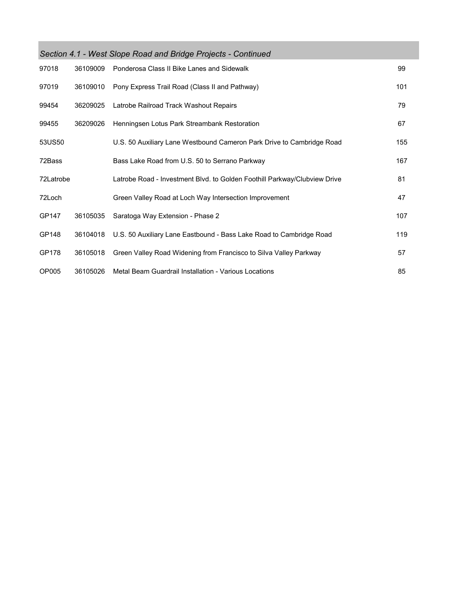| Section 4.1 - West Slope Road and Bridge Projects - Continued |          |                                                                           |     |  |  |
|---------------------------------------------------------------|----------|---------------------------------------------------------------------------|-----|--|--|
| 97018                                                         | 36109009 | Ponderosa Class II Bike Lanes and Sidewalk                                | 99  |  |  |
| 97019                                                         | 36109010 | Pony Express Trail Road (Class II and Pathway)                            | 101 |  |  |
| 99454                                                         | 36209025 | Latrobe Railroad Track Washout Repairs                                    | 79  |  |  |
| 99455                                                         | 36209026 | Henningsen Lotus Park Streambank Restoration                              | 67  |  |  |
| 53US50                                                        |          | U.S. 50 Auxiliary Lane Westbound Cameron Park Drive to Cambridge Road     | 155 |  |  |
| 72Bass                                                        |          | Bass Lake Road from U.S. 50 to Serrano Parkway                            | 167 |  |  |
| 72Latrobe                                                     |          | Latrobe Road - Investment Blvd. to Golden Foothill Parkway/Clubview Drive | 81  |  |  |
| 72Loch                                                        |          | Green Valley Road at Loch Way Intersection Improvement                    | 47  |  |  |
| GP147                                                         | 36105035 | Saratoga Way Extension - Phase 2                                          | 107 |  |  |
| GP148                                                         | 36104018 | U.S. 50 Auxiliary Lane Eastbound - Bass Lake Road to Cambridge Road       | 119 |  |  |
| GP178                                                         | 36105018 | Green Valley Road Widening from Francisco to Silva Valley Parkway         | 57  |  |  |
| OP005                                                         | 36105026 | Metal Beam Guardrail Installation - Various Locations                     | 85  |  |  |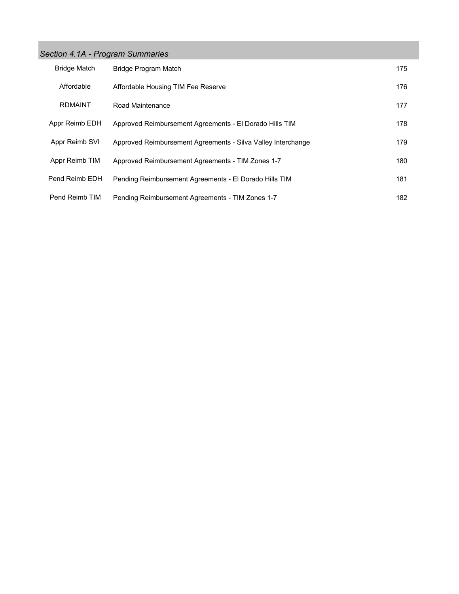#### *Section 4.1A - Program Summaries*

| <b>Bridge Match</b> | Bridge Program Match                                         | 175 |
|---------------------|--------------------------------------------------------------|-----|
| Affordable          | Affordable Housing TIM Fee Reserve                           | 176 |
| <b>RDMAINT</b>      | Road Maintenance                                             | 177 |
| Appr Reimb EDH      | Approved Reimbursement Agreements - El Dorado Hills TIM      | 178 |
| Appr Reimb SVI      | Approved Reimbursement Agreements - Silva Valley Interchange | 179 |
| Appr Reimb TIM      | Approved Reimbursement Agreements - TIM Zones 1-7            | 180 |
| Pend Reimb EDH      | Pending Reimbursement Agreements - El Dorado Hills TIM       | 181 |
| Pend Reimb TIM      | Pending Reimbursement Agreements - TIM Zones 1-7             | 182 |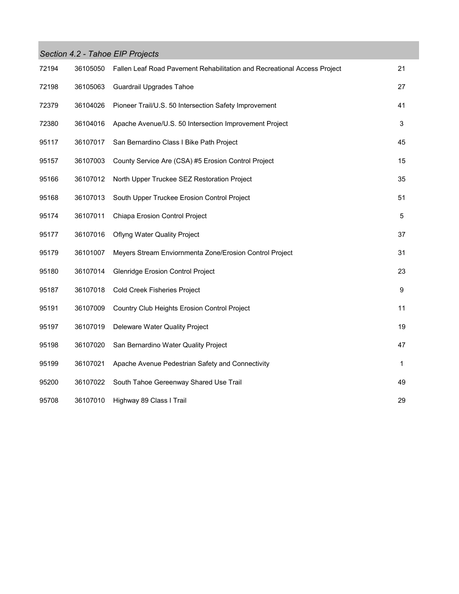|       |          | Section 4.2 - Tahoe EIP Projects                                         |                           |
|-------|----------|--------------------------------------------------------------------------|---------------------------|
| 72194 | 36105050 | Fallen Leaf Road Pavement Rehabilitation and Recreational Access Project | 21                        |
| 72198 | 36105063 | <b>Guardrail Upgrades Tahoe</b>                                          | 27                        |
| 72379 | 36104026 | Pioneer Trail/U.S. 50 Intersection Safety Improvement                    | 41                        |
| 72380 | 36104016 | Apache Avenue/U.S. 50 Intersection Improvement Project                   | $\ensuremath{\mathsf{3}}$ |
| 95117 | 36107017 | San Bernardino Class I Bike Path Project                                 | 45                        |
| 95157 | 36107003 | County Service Are (CSA) #5 Erosion Control Project                      | 15                        |
| 95166 | 36107012 | North Upper Truckee SEZ Restoration Project                              | 35                        |
| 95168 | 36107013 | South Upper Truckee Erosion Control Project                              | 51                        |
| 95174 | 36107011 | Chiapa Erosion Control Project                                           | 5                         |
| 95177 | 36107016 | <b>Oflyng Water Quality Project</b>                                      | 37                        |
| 95179 | 36101007 | Meyers Stream Enviornmenta Zone/Erosion Control Project                  | 31                        |
| 95180 | 36107014 | <b>Glenridge Erosion Control Project</b>                                 | 23                        |
| 95187 | 36107018 | Cold Creek Fisheries Project                                             | 9                         |
| 95191 | 36107009 | Country Club Heights Erosion Control Project                             | 11                        |
| 95197 | 36107019 | Deleware Water Quality Project                                           | 19                        |
| 95198 | 36107020 | San Bernardino Water Quality Project                                     | 47                        |
| 95199 | 36107021 | Apache Avenue Pedestrian Safety and Connectivity                         | 1                         |
| 95200 | 36107022 | South Tahoe Gereenway Shared Use Trail                                   | 49                        |
| 95708 | 36107010 | Highway 89 Class I Trail                                                 | 29                        |

**The Co**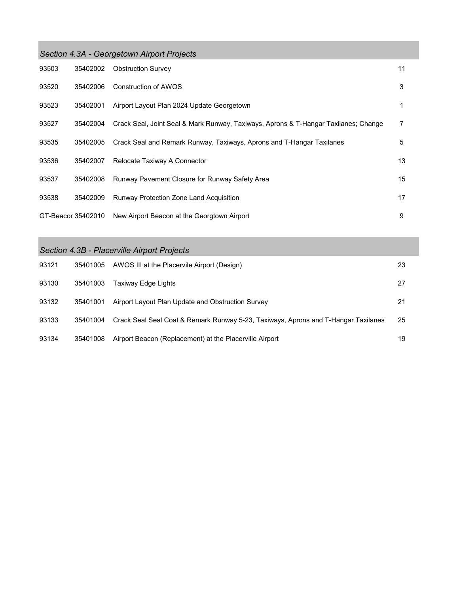| Section 4.3A - Georgetown Airport Projects |                    |                                                                                     |    |  |  |
|--------------------------------------------|--------------------|-------------------------------------------------------------------------------------|----|--|--|
| 93503                                      | 35402002           | <b>Obstruction Survey</b>                                                           | 11 |  |  |
| 93520                                      | 35402006           | Construction of AWOS                                                                | 3  |  |  |
| 93523                                      | 35402001           | Airport Layout Plan 2024 Update Georgetown                                          | 1  |  |  |
| 93527                                      | 35402004           | Crack Seal, Joint Seal & Mark Runway, Taxiways, Aprons & T-Hangar Taxilanes; Change | 7  |  |  |
| 93535                                      | 35402005           | Crack Seal and Remark Runway, Taxiways, Aprons and T-Hangar Taxilanes               | 5  |  |  |
| 93536                                      | 35402007           | Relocate Taxiway A Connector                                                        | 13 |  |  |
| 93537                                      | 35402008           | Runway Pavement Closure for Runway Safety Area                                      | 15 |  |  |
| 93538                                      | 35402009           | <b>Runway Protection Zone Land Acquisition</b>                                      | 17 |  |  |
|                                            | GT-Beacor 35402010 | New Airport Beacon at the Georgtown Airport                                         | 9  |  |  |

# *Section 4.3B - Placerville Airport Projects*

| 93121 | 35401005 | AWOS III at the Placervile Airport (Design)                                        | 23 |
|-------|----------|------------------------------------------------------------------------------------|----|
| 93130 | 35401003 | Taxiway Edge Lights                                                                | 27 |
| 93132 | 35401001 | Airport Layout Plan Update and Obstruction Survey                                  | 21 |
| 93133 | 35401004 | Crack Seal Seal Coat & Remark Runway 5-23, Taxiways, Aprons and T-Hangar Taxilanes | 25 |
| 93134 | 35401008 | Airport Beacon (Replacement) at the Placerville Airport                            | 19 |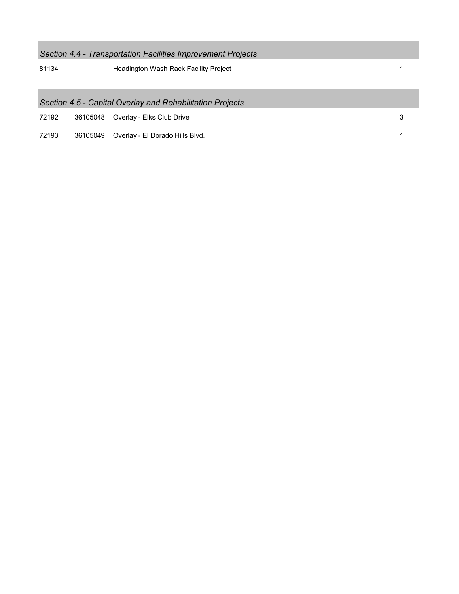| Section 4.4 - Transportation Facilities Improvement Projects |                                                           |                                              |   |  |  |  |
|--------------------------------------------------------------|-----------------------------------------------------------|----------------------------------------------|---|--|--|--|
| 81134                                                        |                                                           | <b>Headington Wash Rack Facility Project</b> |   |  |  |  |
|                                                              | Section 4.5 - Capital Overlay and Rehabilitation Projects |                                              |   |  |  |  |
| 72192                                                        | 36105048                                                  | Overlay - Elks Club Drive                    | 3 |  |  |  |
| 72193                                                        | 36105049                                                  | Overlay - El Dorado Hills Blvd.              |   |  |  |  |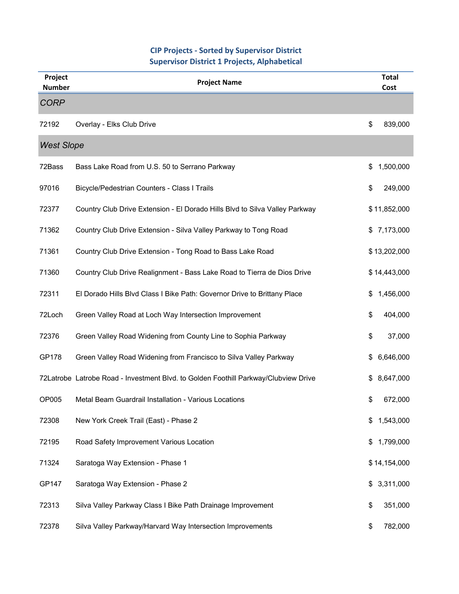#### **CIP Projects ‐ Sorted by Supervisor District Supervisor District 1 Projects, Alphabetical**

| Project<br><b>Number</b> | <b>Project Name</b>                                                                 | <b>Total</b><br>Cost |
|--------------------------|-------------------------------------------------------------------------------------|----------------------|
| <b>CORP</b>              |                                                                                     |                      |
| 72192                    | Overlay - Elks Club Drive                                                           | \$<br>839,000        |
| <b>West Slope</b>        |                                                                                     |                      |
| 72Bass                   | Bass Lake Road from U.S. 50 to Serrano Parkway                                      | 1,500,000<br>\$      |
| 97016                    | Bicycle/Pedestrian Counters - Class I Trails                                        | \$<br>249,000        |
| 72377                    | Country Club Drive Extension - El Dorado Hills Blvd to Silva Valley Parkway         | \$11,852,000         |
| 71362                    | Country Club Drive Extension - Silva Valley Parkway to Tong Road                    | \$7,173,000          |
| 71361                    | Country Club Drive Extension - Tong Road to Bass Lake Road                          | \$13,202,000         |
| 71360                    | Country Club Drive Realignment - Bass Lake Road to Tierra de Dios Drive             | \$14,443,000         |
| 72311                    | El Dorado Hills Blvd Class I Bike Path: Governor Drive to Brittany Place            | 1,456,000<br>\$      |
| 72Loch                   | Green Valley Road at Loch Way Intersection Improvement                              | \$<br>404,000        |
| 72376                    | Green Valley Road Widening from County Line to Sophia Parkway                       | \$<br>37,000         |
| GP178                    | Green Valley Road Widening from Francisco to Silva Valley Parkway                   | 6,646,000<br>\$      |
|                          | 72Latrobe Latrobe Road - Investment Blvd. to Golden Foothill Parkway/Clubview Drive | 8,647,000<br>\$      |
| OP005                    | Metal Beam Guardrail Installation - Various Locations                               | 672,000<br>\$        |
| 72308                    | New York Creek Trail (East) - Phase 2                                               | 1,543,000<br>\$      |
| 72195                    | Road Safety Improvement Various Location                                            | 1,799,000<br>\$      |
| 71324                    | Saratoga Way Extension - Phase 1                                                    | \$14,154,000         |
| GP147                    | Saratoga Way Extension - Phase 2                                                    | 3,311,000<br>\$      |
| 72313                    | Silva Valley Parkway Class I Bike Path Drainage Improvement                         | \$<br>351,000        |
| 72378                    | Silva Valley Parkway/Harvard Way Intersection Improvements                          | 782,000<br>\$        |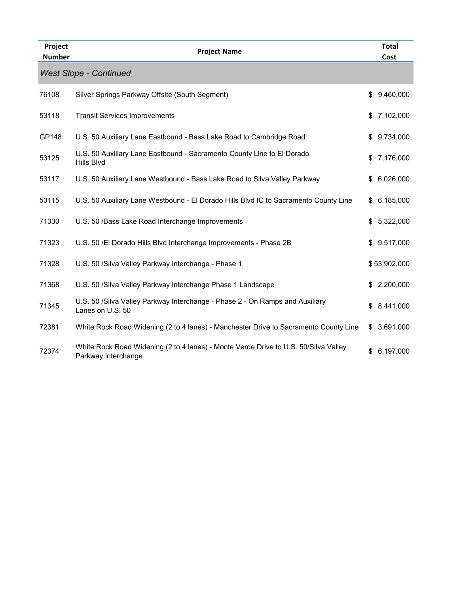| Project<br><b>Number</b> | <b>Project Name</b>                                                                                        | <b>Total</b><br>Cost |
|--------------------------|------------------------------------------------------------------------------------------------------------|----------------------|
|                          | <b>West Slope - Continued</b>                                                                              |                      |
| 76108                    | Silver Springs Parkway Offsite (South Segment)                                                             | 9,460,000<br>\$      |
| 53118                    | <b>Transit Services Improvements</b>                                                                       | 7,102,000<br>\$      |
| GP148                    | U.S. 50 Auxiliary Lane Eastbound - Bass Lake Road to Cambridge Road                                        | 9,734,000<br>\$      |
| 53125                    | U.S. 50 Auxiliary Lane Eastbound - Sacramento County Line to El Dorado<br>Hills Blvd                       | 7,176,000<br>\$      |
| 53117                    | U.S. 50 Auxiliary Lane Westbound - Bass Lake Road to Silva Valley Parkway                                  | 6,026,000<br>\$      |
| 53115                    | U.S. 50 Auxiliary Lane Westbound - El Dorado Hills Blvd IC to Sacramento County Line                       | \$6,185,000          |
| 71330                    | U.S. 50 /Bass Lake Road Interchange Improvements                                                           | 5,322,000<br>\$      |
| 71323                    | U.S. 50 /El Dorado Hills Blvd Interchange Improvements - Phase 2B                                          | 9,517,000<br>\$.     |
| 71328                    | U.S. 50 / Silva Valley Parkway Interchange - Phase 1                                                       | \$53,902,000         |
| 71368                    | U.S. 50 /Silva Valley Parkway Interchange Phase 1 Landscape                                                | 2,200,000<br>\$      |
| 71345                    | U.S. 50 / Silva Valley Parkway Interchange - Phase 2 - On Ramps and Auxiliary<br>Lanes on U.S. 50          | 8,441,000<br>\$      |
| 72381                    | White Rock Road Widening (2 to 4 lanes) - Manchester Drive to Sacramento County Line                       | \$3,691,000          |
| 72374                    | White Rock Road Widening (2 to 4 lanes) - Monte Verde Drive to U.S. 50/Silva Valley<br>Parkway Interchange | 6,197,000<br>\$      |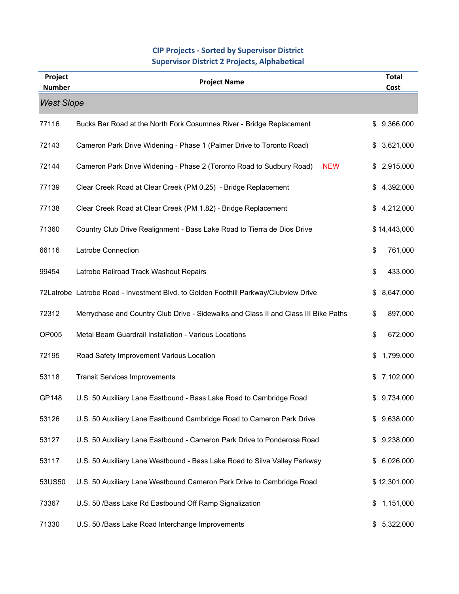#### **CIP Projects ‐ Sorted by Supervisor District Supervisor District 2 Projects, Alphabetical**

| Project<br><b>Number</b> | <b>Project Name</b>                                                                 | <b>Total</b><br>Cost |  |  |  |
|--------------------------|-------------------------------------------------------------------------------------|----------------------|--|--|--|
| <b>West Slope</b>        |                                                                                     |                      |  |  |  |
| 77116                    | Bucks Bar Road at the North Fork Cosumnes River - Bridge Replacement                | 9,366,000<br>\$      |  |  |  |
| 72143                    | Cameron Park Drive Widening - Phase 1 (Palmer Drive to Toronto Road)                | 3,621,000<br>\$      |  |  |  |
| 72144                    | Cameron Park Drive Widening - Phase 2 (Toronto Road to Sudbury Road)<br><b>NEW</b>  | 2,915,000<br>\$      |  |  |  |
| 77139                    | Clear Creek Road at Clear Creek (PM 0.25) - Bridge Replacement                      | 4,392,000<br>\$      |  |  |  |
| 77138                    | Clear Creek Road at Clear Creek (PM 1.82) - Bridge Replacement                      | 4,212,000<br>\$      |  |  |  |
| 71360                    | Country Club Drive Realignment - Bass Lake Road to Tierra de Dios Drive             | \$14,443,000         |  |  |  |
| 66116                    | Latrobe Connection                                                                  | 761,000<br>\$        |  |  |  |
| 99454                    | Latrobe Railroad Track Washout Repairs                                              | \$<br>433,000        |  |  |  |
|                          | 72Latrobe Latrobe Road - Investment Blvd. to Golden Foothill Parkway/Clubview Drive | 8,647,000<br>\$      |  |  |  |
| 72312                    | Merrychase and Country Club Drive - Sidewalks and Class II and Class III Bike Paths | 897,000<br>\$        |  |  |  |
| OP005                    | Metal Beam Guardrail Installation - Various Locations                               | \$<br>672,000        |  |  |  |
| 72195                    | Road Safety Improvement Various Location                                            | 1,799,000<br>\$      |  |  |  |
| 53118                    | <b>Transit Services Improvements</b>                                                | 7,102,000<br>\$      |  |  |  |
| GP148                    | U.S. 50 Auxiliary Lane Eastbound - Bass Lake Road to Cambridge Road                 | 9,734,000<br>\$      |  |  |  |
| 53126                    | U.S. 50 Auxiliary Lane Eastbound Cambridge Road to Cameron Park Drive               | 9,638,000<br>\$      |  |  |  |
| 53127                    | U.S. 50 Auxiliary Lane Eastbound - Cameron Park Drive to Ponderosa Road             | 9,238,000<br>\$      |  |  |  |
| 53117                    | U.S. 50 Auxiliary Lane Westbound - Bass Lake Road to Silva Valley Parkway           | 6,026,000<br>\$      |  |  |  |
| 53US50                   | U.S. 50 Auxiliary Lane Westbound Cameron Park Drive to Cambridge Road               | \$12,301,000         |  |  |  |
| 73367                    | U.S. 50 /Bass Lake Rd Eastbound Off Ramp Signalization                              | 1,151,000<br>\$      |  |  |  |
| 71330                    | U.S. 50 /Bass Lake Road Interchange Improvements                                    | \$5,322,000          |  |  |  |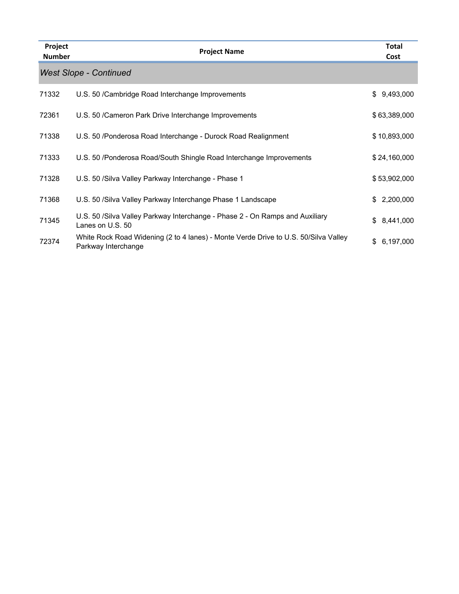| Project<br><b>Number</b> | <b>Project Name</b>                                                                                        | <b>Total</b><br>Cost |
|--------------------------|------------------------------------------------------------------------------------------------------------|----------------------|
|                          | <b>West Slope - Continued</b>                                                                              |                      |
| 71332                    | U.S. 50 / Cambridge Road Interchange Improvements                                                          | 9,493,000<br>\$      |
| 72361                    | U.S. 50 / Cameron Park Drive Interchange Improvements                                                      | \$63,389,000         |
| 71338                    | U.S. 50 /Ponderosa Road Interchange - Durock Road Realignment                                              | \$10,893,000         |
| 71333                    | U.S. 50 /Ponderosa Road/South Shingle Road Interchange Improvements                                        | \$24,160,000         |
| 71328                    | U.S. 50 / Silva Valley Parkway Interchange - Phase 1                                                       | \$53,902,000         |
| 71368                    | U.S. 50 / Silva Valley Parkway Interchange Phase 1 Landscape                                               | 2,200,000<br>\$      |
| 71345                    | U.S. 50 / Silva Valley Parkway Interchange - Phase 2 - On Ramps and Auxiliary<br>Lanes on U.S. 50          | 8,441,000<br>\$      |
| 72374                    | White Rock Road Widening (2 to 4 lanes) - Monte Verde Drive to U.S. 50/Silva Valley<br>Parkway Interchange | 6,197,000<br>\$      |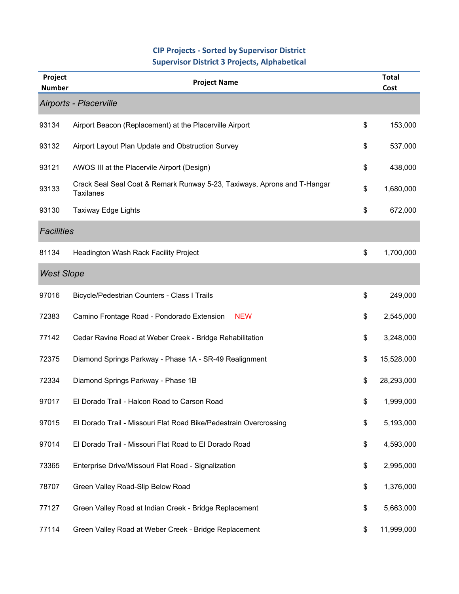#### **CIP Projects ‐ Sorted by Supervisor District Supervisor District 3 Projects, Alphabetical**

| Project<br><b>Number</b> | <b>Project Name</b>                                                                          |    | <b>Total</b><br>Cost |  |  |
|--------------------------|----------------------------------------------------------------------------------------------|----|----------------------|--|--|
| Airports - Placerville   |                                                                                              |    |                      |  |  |
| 93134                    | Airport Beacon (Replacement) at the Placerville Airport                                      | \$ | 153,000              |  |  |
| 93132                    | Airport Layout Plan Update and Obstruction Survey                                            | \$ | 537,000              |  |  |
| 93121                    | AWOS III at the Placervile Airport (Design)                                                  | \$ | 438,000              |  |  |
| 93133                    | Crack Seal Seal Coat & Remark Runway 5-23, Taxiways, Aprons and T-Hangar<br><b>Taxilanes</b> | \$ | 1,680,000            |  |  |
| 93130                    | <b>Taxiway Edge Lights</b>                                                                   | \$ | 672,000              |  |  |
| <b>Facilities</b>        |                                                                                              |    |                      |  |  |
| 81134                    | Headington Wash Rack Facility Project                                                        | \$ | 1,700,000            |  |  |
| <b>West Slope</b>        |                                                                                              |    |                      |  |  |
| 97016                    | Bicycle/Pedestrian Counters - Class I Trails                                                 | \$ | 249,000              |  |  |
| 72383                    | <b>NEW</b><br>Camino Frontage Road - Pondorado Extension                                     | \$ | 2,545,000            |  |  |
| 77142                    | Cedar Ravine Road at Weber Creek - Bridge Rehabilitation                                     | \$ | 3,248,000            |  |  |
| 72375                    | Diamond Springs Parkway - Phase 1A - SR-49 Realignment                                       | \$ | 15,528,000           |  |  |
| 72334                    | Diamond Springs Parkway - Phase 1B                                                           | \$ | 28,293,000           |  |  |
| 97017                    | El Dorado Trail - Halcon Road to Carson Road                                                 | \$ | 1,999,000            |  |  |
| 97015                    | El Dorado Trail - Missouri Flat Road Bike/Pedestrain Overcrossing                            | \$ | 5,193,000            |  |  |
| 97014                    | El Dorado Trail - Missouri Flat Road to El Dorado Road                                       | \$ | 4,593,000            |  |  |
| 73365                    | Enterprise Drive/Missouri Flat Road - Signalization                                          | \$ | 2,995,000            |  |  |
| 78707                    | Green Valley Road-Slip Below Road                                                            | \$ | 1,376,000            |  |  |
| 77127                    | Green Valley Road at Indian Creek - Bridge Replacement                                       | \$ | 5,663,000            |  |  |
| 77114                    | Green Valley Road at Weber Creek - Bridge Replacement                                        | \$ | 11,999,000           |  |  |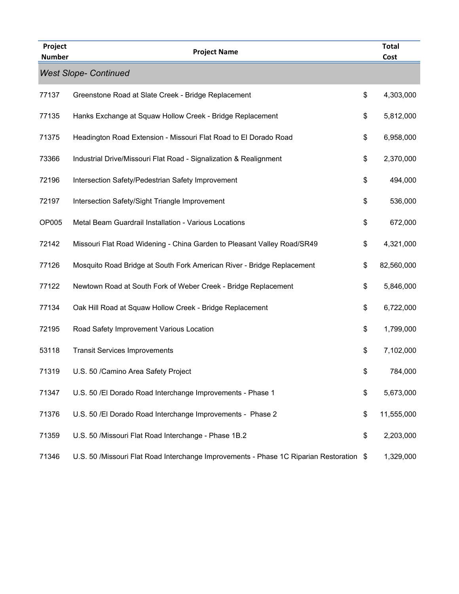| Project<br><b>Number</b> | <b>Project Name</b>                                                                     | <b>Total</b><br>Cost |
|--------------------------|-----------------------------------------------------------------------------------------|----------------------|
|                          | <b>West Slope- Continued</b>                                                            |                      |
| 77137                    | Greenstone Road at Slate Creek - Bridge Replacement                                     | \$<br>4,303,000      |
| 77135                    | Hanks Exchange at Squaw Hollow Creek - Bridge Replacement                               | \$<br>5,812,000      |
| 71375                    | Headington Road Extension - Missouri Flat Road to El Dorado Road                        | \$<br>6,958,000      |
| 73366                    | Industrial Drive/Missouri Flat Road - Signalization & Realignment                       | \$<br>2,370,000      |
| 72196                    | Intersection Safety/Pedestrian Safety Improvement                                       | \$<br>494,000        |
| 72197                    | Intersection Safety/Sight Triangle Improvement                                          | \$<br>536,000        |
| OP005                    | Metal Beam Guardrail Installation - Various Locations                                   | \$<br>672,000        |
| 72142                    | Missouri Flat Road Widening - China Garden to Pleasant Valley Road/SR49                 | \$<br>4,321,000      |
| 77126                    | Mosquito Road Bridge at South Fork American River - Bridge Replacement                  | \$<br>82,560,000     |
| 77122                    | Newtown Road at South Fork of Weber Creek - Bridge Replacement                          | \$<br>5,846,000      |
| 77134                    | Oak Hill Road at Squaw Hollow Creek - Bridge Replacement                                | \$<br>6,722,000      |
| 72195                    | Road Safety Improvement Various Location                                                | \$<br>1,799,000      |
| 53118                    | <b>Transit Services Improvements</b>                                                    | \$<br>7,102,000      |
| 71319                    | U.S. 50 / Camino Area Safety Project                                                    | \$<br>784,000        |
| 71347                    | U.S. 50 /El Dorado Road Interchange Improvements - Phase 1                              | \$<br>5,673,000      |
| 71376                    | U.S. 50 /El Dorado Road Interchange Improvements - Phase 2                              | \$<br>11,555,000     |
| 71359                    | U.S. 50 /Missouri Flat Road Interchange - Phase 1B.2                                    | \$<br>2,203,000      |
| 71346                    | U.S. 50 /Missouri Flat Road Interchange Improvements - Phase 1C Riparian Restoration \$ | 1,329,000            |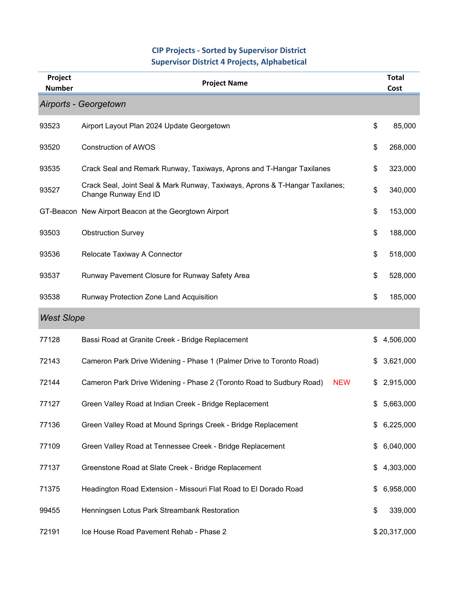### **CIP Projects ‐ Sorted by Supervisor District Supervisor District 4 Projects, Alphabetical**

| Project<br><b>Number</b> | <b>Project Name</b>                                                                                  |     | <b>Total</b><br>Cost |
|--------------------------|------------------------------------------------------------------------------------------------------|-----|----------------------|
|                          | Airports - Georgetown                                                                                |     |                      |
| 93523                    | Airport Layout Plan 2024 Update Georgetown                                                           | \$  | 85,000               |
| 93520                    | <b>Construction of AWOS</b>                                                                          | \$  | 268,000              |
| 93535                    | Crack Seal and Remark Runway, Taxiways, Aprons and T-Hangar Taxilanes                                | \$  | 323,000              |
| 93527                    | Crack Seal, Joint Seal & Mark Runway, Taxiways, Aprons & T-Hangar Taxilanes;<br>Change Runway End ID | \$  | 340,000              |
|                          | GT-Beacon New Airport Beacon at the Georgtown Airport                                                | \$  | 153,000              |
| 93503                    | <b>Obstruction Survey</b>                                                                            | \$  | 188,000              |
| 93536                    | Relocate Taxiway A Connector                                                                         | \$  | 518,000              |
| 93537                    | Runway Pavement Closure for Runway Safety Area                                                       | \$  | 528,000              |
| 93538                    | Runway Protection Zone Land Acquisition                                                              | \$  | 185,000              |
| <b>West Slope</b>        |                                                                                                      |     |                      |
| 77128                    | Bassi Road at Granite Creek - Bridge Replacement                                                     | \$  | 4,506,000            |
| 72143                    | Cameron Park Drive Widening - Phase 1 (Palmer Drive to Toronto Road)                                 | \$  | 3,621,000            |
| 72144                    | <b>NEW</b><br>Cameron Park Drive Widening - Phase 2 (Toronto Road to Sudbury Road)                   | \$  | 2,915,000            |
| 77127                    | Green Valley Road at Indian Creek - Bridge Replacement                                               | \$. | 5,663,000            |
| 77136                    | Green Valley Road at Mound Springs Creek - Bridge Replacement                                        | \$  | 6,225,000            |
| 77109                    | Green Valley Road at Tennessee Creek - Bridge Replacement                                            | \$. | 6,040,000            |
| 77137                    | Greenstone Road at Slate Creek - Bridge Replacement                                                  | S.  | 4,303,000            |
| 71375                    | Headington Road Extension - Missouri Flat Road to El Dorado Road                                     | \$  | 6,958,000            |
| 99455                    | Henningsen Lotus Park Streambank Restoration                                                         | \$  | 339,000              |
| 72191                    | Ice House Road Pavement Rehab - Phase 2                                                              |     | \$20,317,000         |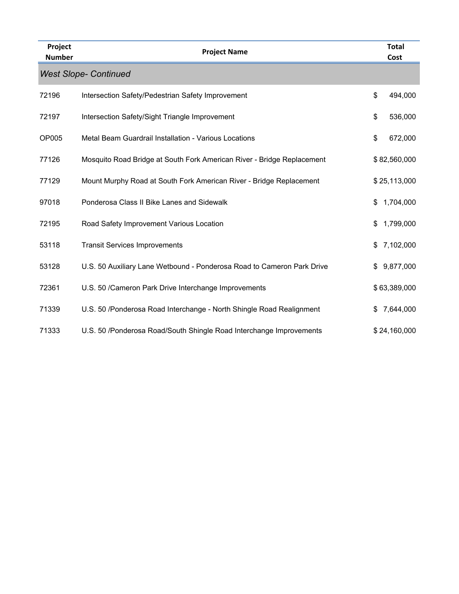| Project<br><b>Number</b> | <b>Project Name</b>                                                    | <b>Total</b><br>Cost |
|--------------------------|------------------------------------------------------------------------|----------------------|
|                          | <b>West Slope- Continued</b>                                           |                      |
| 72196                    | Intersection Safety/Pedestrian Safety Improvement                      | \$<br>494,000        |
| 72197                    | Intersection Safety/Sight Triangle Improvement                         | \$<br>536,000        |
| OP005                    | Metal Beam Guardrail Installation - Various Locations                  | \$<br>672,000        |
| 77126                    | Mosquito Road Bridge at South Fork American River - Bridge Replacement | \$82,560,000         |
| 77129                    | Mount Murphy Road at South Fork American River - Bridge Replacement    | \$25,113,000         |
| 97018                    | Ponderosa Class II Bike Lanes and Sidewalk                             | \$<br>1,704,000      |
| 72195                    | Road Safety Improvement Various Location                               | \$<br>1,799,000      |
| 53118                    | <b>Transit Services Improvements</b>                                   | \$<br>7,102,000      |
| 53128                    | U.S. 50 Auxiliary Lane Wetbound - Ponderosa Road to Cameron Park Drive | \$<br>9,877,000      |
| 72361                    | U.S. 50 / Cameron Park Drive Interchange Improvements                  | \$63,389,000         |
| 71339                    | U.S. 50 /Ponderosa Road Interchange - North Shingle Road Realignment   | \$<br>7,644,000      |
| 71333                    | U.S. 50 /Ponderosa Road/South Shingle Road Interchange Improvements    | \$24,160,000         |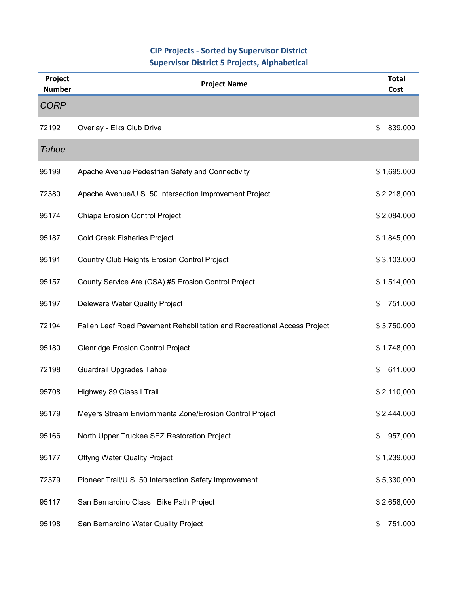## **CIP Projects ‐ Sorted by Supervisor District Supervisor District 5 Projects, Alphabetical**

| Project<br><b>Number</b> | <b>Project Name</b>                                                      | <b>Total</b><br>Cost |
|--------------------------|--------------------------------------------------------------------------|----------------------|
| <b>CORP</b>              |                                                                          |                      |
| 72192                    | Overlay - Elks Club Drive                                                | \$<br>839,000        |
| <b>Tahoe</b>             |                                                                          |                      |
| 95199                    | Apache Avenue Pedestrian Safety and Connectivity                         | \$1,695,000          |
| 72380                    | Apache Avenue/U.S. 50 Intersection Improvement Project                   | \$2,218,000          |
| 95174                    | Chiapa Erosion Control Project                                           | \$2,084,000          |
| 95187                    | <b>Cold Creek Fisheries Project</b>                                      | \$1,845,000          |
| 95191                    | Country Club Heights Erosion Control Project                             | \$3,103,000          |
| 95157                    | County Service Are (CSA) #5 Erosion Control Project                      | \$1,514,000          |
| 95197                    | Deleware Water Quality Project                                           | \$<br>751,000        |
| 72194                    | Fallen Leaf Road Pavement Rehabilitation and Recreational Access Project | \$3,750,000          |
| 95180                    | Glenridge Erosion Control Project                                        | \$1,748,000          |
| 72198                    | <b>Guardrail Upgrades Tahoe</b>                                          | 611,000<br>\$        |
| 95708                    | Highway 89 Class I Trail                                                 | \$2,110,000          |
| 95179                    | Meyers Stream Enviornmenta Zone/Erosion Control Project                  | \$2,444,000          |
| 95166                    | North Upper Truckee SEZ Restoration Project                              | 957,000<br>\$        |
| 95177                    | <b>Oflyng Water Quality Project</b>                                      | \$1,239,000          |
| 72379                    | Pioneer Trail/U.S. 50 Intersection Safety Improvement                    | \$5,330,000          |
| 95117                    | San Bernardino Class I Bike Path Project                                 | \$2,658,000          |
| 95198                    | San Bernardino Water Quality Project                                     | 751,000<br>\$        |